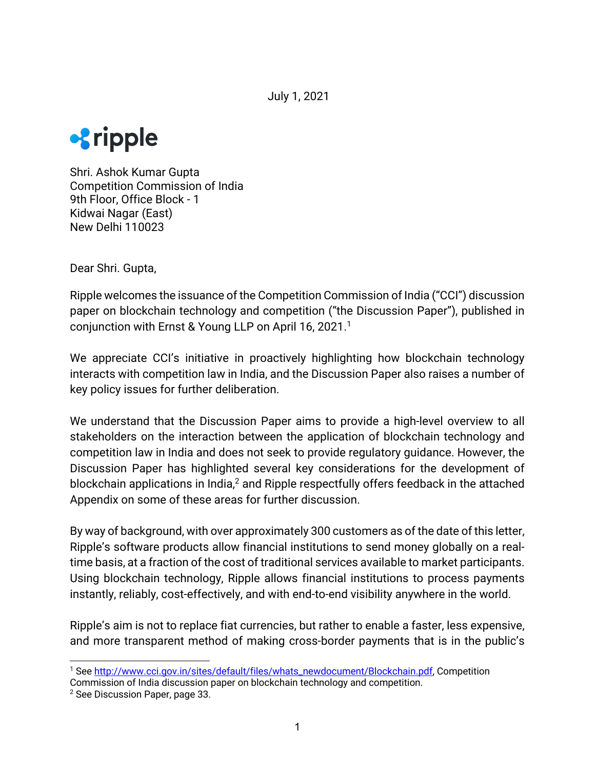July 1, 2021



Shri. Ashok Kumar Gupta Competition Commission of India 9th Floor, Office Block - 1 Kidwai Nagar (East) New Delhi 110023

Dear Shri. Gupta,

Ripple welcomes the issuance of the Competition Commission of India ("CCI") discussion paper on blockchain technology and competition ("the Discussion Paper"), published in conjunction with Ernst & Young LLP on April 16, 2021.<sup>1</sup>

We appreciate CCI's initiative in proactively highlighting how blockchain technology interacts with competition law in India, and the Discussion Paper also raises a number of key policy issues for further deliberation.

We understand that the Discussion Paper aims to provide a high-level overview to all stakeholders on the interaction between the application of blockchain technology and competition law in India and does not seek to provide regulatory guidance. However, the Discussion Paper has highlighted several key considerations for the development of blockchain applications in India,<sup>2</sup> and Ripple respectfully offers feedback in the attached Appendix on some of these areas for further discussion.

By way of background, with over approximately 300 customers as of the date of this letter, Ripple's software products allow financial institutions to send money globally on a realtime basis, at a fraction of the cost of traditional services available to market participants. Using blockchain technology, Ripple allows financial institutions to process payments instantly, reliably, cost-effectively, and with end-to-end visibility anywhere in the world.

Ripple's aim is not to replace fiat currencies, but rather to enable a faster, less expensive, and more transparent method of making cross-border payments that is in the public's

<sup>1</sup> See http://www.cci.gov.in/sites/default/files/whats\_newdocument/Blockchain.pdf, Competition Commission of India discussion paper on blockchain technology and competition.

<sup>2</sup> See Discussion Paper, page 33.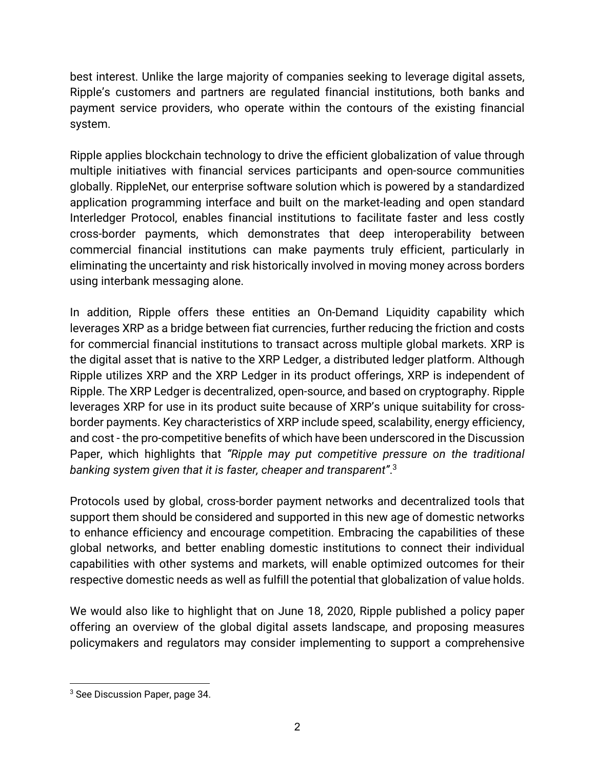best interest. Unlike the large majority of companies seeking to leverage digital assets, Ripple's customers and partners are regulated financial institutions, both banks and payment service providers, who operate within the contours of the existing financial system.

Ripple applies blockchain technology to drive the efficient globalization of value through multiple initiatives with financial services participants and open-source communities globally. RippleNet, our enterprise software solution which is powered by a standardized application programming interface and built on the market-leading and open standard Interledger Protocol, enables financial institutions to facilitate faster and less costly cross-border payments, which demonstrates that deep interoperability between commercial financial institutions can make payments truly efficient, particularly in eliminating the uncertainty and risk historically involved in moving money across borders using interbank messaging alone.

In addition, Ripple offers these entities an On-Demand Liquidity capability which leverages XRP as a bridge between fiat currencies, further reducing the friction and costs for commercial financial institutions to transact across multiple global markets. XRP is the digital asset that is native to the XRP Ledger, a distributed ledger platform. Although Ripple utilizes XRP and the XRP Ledger in its product offerings, XRP is independent of Ripple. The XRP Ledger is decentralized, open-source, and based on cryptography. Ripple leverages XRP for use in its product suite because of XRP's unique suitability for crossborder payments. Key characteristics of XRP include speed, scalability, energy efficiency, and cost - the pro-competitive benefits of which have been underscored in the Discussion Paper, which highlights that *"Ripple may put competitive pressure on the traditional banking system given that it is faster, cheaper and transparent"*. 3

Protocols used by global, cross-border payment networks and decentralized tools that support them should be considered and supported in this new age of domestic networks to enhance efficiency and encourage competition. Embracing the capabilities of these global networks, and better enabling domestic institutions to connect their individual capabilities with other systems and markets, will enable optimized outcomes for their respective domestic needs as well as fulfill the potential that globalization of value holds.

We would also like to highlight that on June 18, 2020, Ripple published a policy paper offering an overview of the global digital assets landscape, and proposing measures policymakers and regulators may consider implementing to support a comprehensive

<sup>&</sup>lt;sup>3</sup> See Discussion Paper, page 34.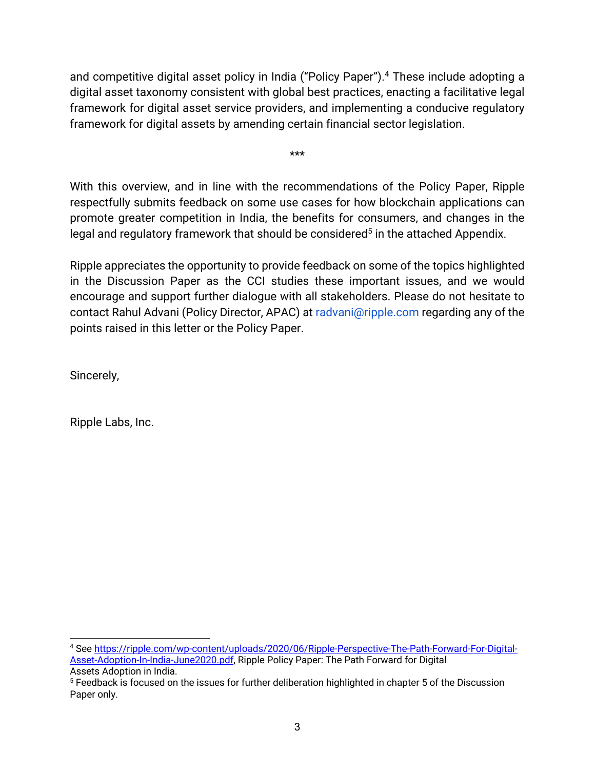and competitive digital asset policy in India ("Policy Paper").<sup>4</sup> These include adopting a digital asset taxonomy consistent with global best practices, enacting a facilitative legal framework for digital asset service providers, and implementing a conducive regulatory framework for digital assets by amending certain financial sector legislation.

\*\*\*

With this overview, and in line with the recommendations of the Policy Paper, Ripple respectfully submits feedback on some use cases for how blockchain applications can promote greater competition in India, the benefits for consumers, and changes in the legal and regulatory framework that should be considered<sup>5</sup> in the attached Appendix.

Ripple appreciates the opportunity to provide feedback on some of the topics highlighted in the Discussion Paper as the CCI studies these important issues, and we would encourage and support further dialogue with all stakeholders. Please do not hesitate to contact Rahul Advani (Policy Director, APAC) at radvani@ripple.com regarding any of the points raised in this letter or the Policy Paper.

Sincerely,

Ripple Labs, Inc.

<sup>4</sup> See https://ripple.com/wp-content/uploads/2020/06/Ripple-Perspective-The-Path-Forward-For-Digital-Asset-Adoption-In-India-June2020.pdf, Ripple Policy Paper: The Path Forward for Digital Assets Adoption in India.

<sup>&</sup>lt;sup>5</sup> Feedback is focused on the issues for further deliberation highlighted in chapter 5 of the Discussion Paper only.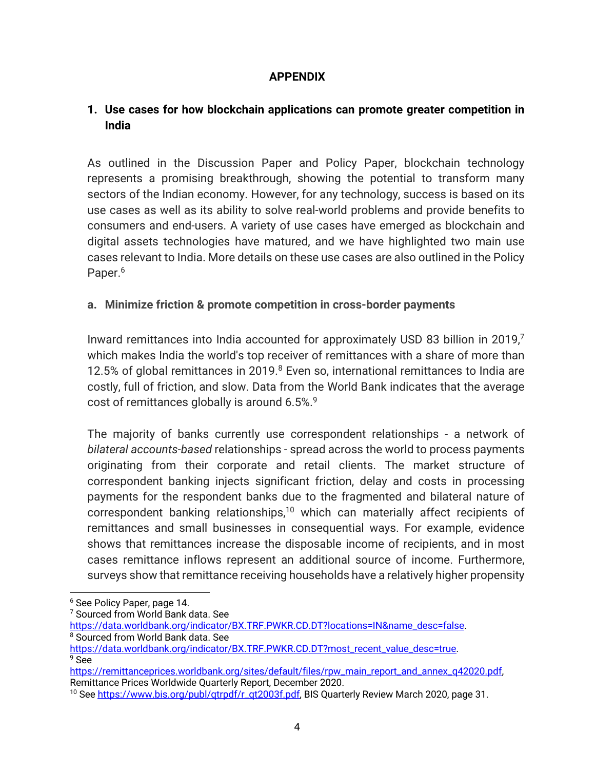### **APPENDIX**

## **1. Use cases for how blockchain applications can promote greater competition in India**

As outlined in the Discussion Paper and Policy Paper, blockchain technology represents a promising breakthrough, showing the potential to transform many sectors of the Indian economy. However, for any technology, success is based on its use cases as well as its ability to solve real-world problems and provide benefits to consumers and end-users. A variety of use cases have emerged as blockchain and digital assets technologies have matured, and we have highlighted two main use cases relevant to India. More details on these use cases are also outlined in the Policy Paper.<sup>6</sup>

### **a. Minimize friction & promote competition in cross-border payments**

Inward remittances into India accounted for approximately USD 83 billion in 2019, $<sup>7</sup>$ </sup> which makes India the world's top receiver of remittances with a share of more than 12.5% of global remittances in 2019.<sup>8</sup> Even so, international remittances to India are costly, full of friction, and slow. Data from the World Bank indicates that the average cost of remittances globally is around 6.5%.<sup>9</sup>

The majority of banks currently use correspondent relationships - a network of *bilateral accounts-based* relationships - spread across the world to process payments originating from their corporate and retail clients. The market structure of correspondent banking injects significant friction, delay and costs in processing payments for the respondent banks due to the fragmented and bilateral nature of correspondent banking relationships,<sup>10</sup> which can materially affect recipients of remittances and small businesses in consequential ways. For example, evidence shows that remittances increase the disposable income of recipients, and in most cases remittance inflows represent an additional source of income. Furthermore, surveys show that remittance receiving households have a relatively higher propensity

<sup>6</sup> See Policy Paper, page 14.

<sup>&</sup>lt;sup>7</sup> Sourced from World Bank data. See

https://data.worldbank.org/indicator/BX.TRF.PWKR.CD.DT?locations=IN&name\_desc=false.<br><sup>8</sup> Sourced from World Bank data. See

https://data.worldbank.org/indicator/BX.TRF.PWKR.CD.DT?most\_recent\_value\_desc=true.<br>9 See

https://remittanceprices.worldbank.org/sites/default/files/rpw\_main\_report\_and\_annex\_q42020.pdf, Remittance Prices Worldwide Quarterly Report, December 2020.

<sup>&</sup>lt;sup>10</sup> See https://www.bis.org/publ/qtrpdf/r\_qt2003f.pdf, BIS Quarterly Review March 2020, page 31.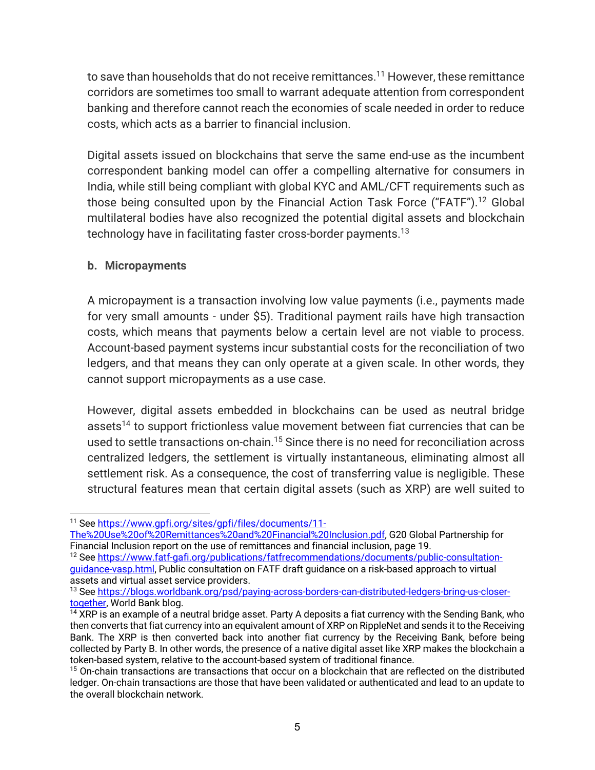to save than households that do not receive remittances.<sup>11</sup> However, these remittance corridors are sometimes too small to warrant adequate attention from correspondent banking and therefore cannot reach the economies of scale needed in order to reduce costs, which acts as a barrier to financial inclusion.

Digital assets issued on blockchains that serve the same end-use as the incumbent correspondent banking model can offer a compelling alternative for consumers in India, while still being compliant with global KYC and AML/CFT requirements such as those being consulted upon by the Financial Action Task Force ("FATF").<sup>12</sup> Global multilateral bodies have also recognized the potential digital assets and blockchain technology have in facilitating faster cross-border payments.<sup>13</sup>

#### **b. Micropayments**

A micropayment is a transaction involving low value payments (i.e., payments made for very small amounts - under \$5). Traditional payment rails have high transaction costs, which means that payments below a certain level are not viable to process. Account-based payment systems incur substantial costs for the reconciliation of two ledgers, and that means they can only operate at a given scale. In other words, they cannot support micropayments as a use case.

However, digital assets embedded in blockchains can be used as neutral bridge assets<sup>14</sup> to support frictionless value movement between fiat currencies that can be used to settle transactions on-chain.<sup>15</sup> Since there is no need for reconciliation across centralized ledgers, the settlement is virtually instantaneous, eliminating almost all settlement risk. As a consequence, the cost of transferring value is negligible. These structural features mean that certain digital assets (such as XRP) are well suited to

<sup>11</sup> See https://www.gpfi.org/sites/gpfi/files/documents/11-

The%20Use%20of%20Remittances%20and%20Financial%20Inclusion.pdf, G20 Global Partnership for Financial Inclusion report on the use of remittances and financial inclusion, page 19.

<sup>12</sup> See https://www.fatf-gafi.org/publications/fatfrecommendations/documents/public-consultationguidance-vasp.html, Public consultation on FATF draft guidance on a risk-based approach to virtual assets and virtual asset service providers.

<sup>13</sup> See https://blogs.worldbank.org/psd/paying-across-borders-can-distributed-ledgers-bring-us-closertogether, World Bank blog.

<sup>&</sup>lt;sup>14</sup> XRP is an example of a neutral bridge asset. Party A deposits a fiat currency with the Sending Bank, who then converts that fiat currency into an equivalent amount of XRP on RippleNet and sends it to the Receiving Bank. The XRP is then converted back into another fiat currency by the Receiving Bank, before being collected by Party B. In other words, the presence of a native digital asset like XRP makes the blockchain a token-based system, relative to the account-based system of traditional finance.

<sup>&</sup>lt;sup>15</sup> On-chain transactions are transactions that occur on a blockchain that are reflected on the distributed ledger. On-chain transactions are those that have been validated or authenticated and lead to an update to the overall blockchain network.